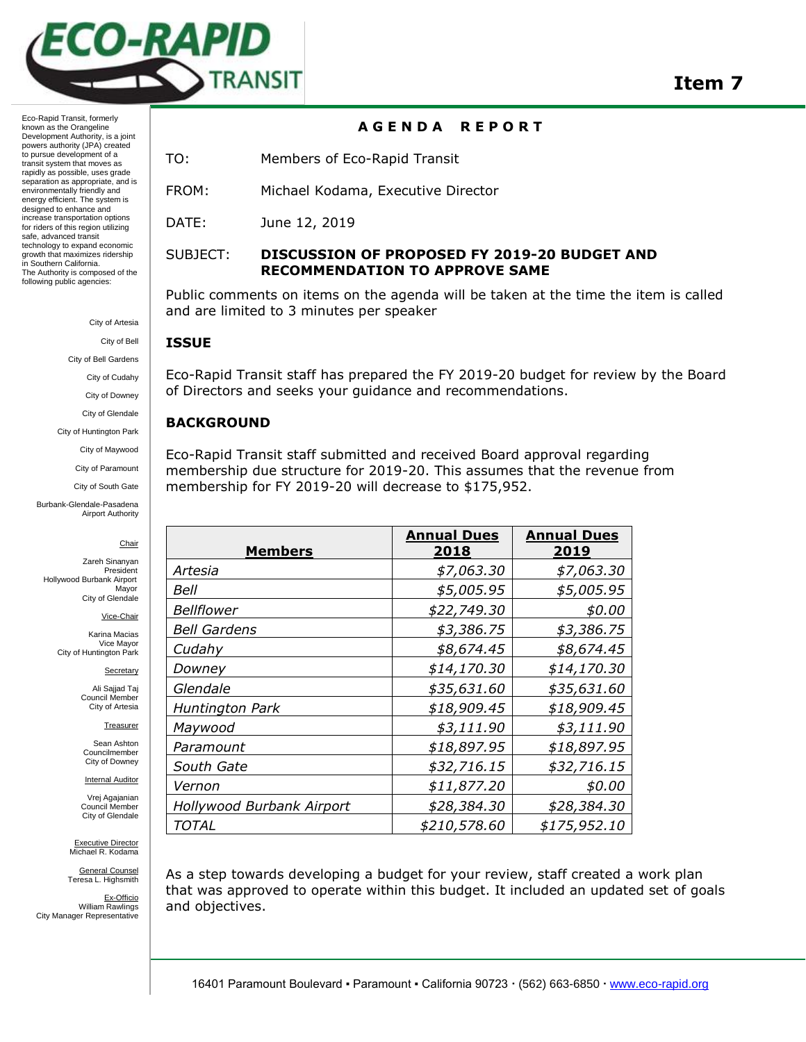

**A G E N D A R E P O R T**

Eco-Rapid Transit, formerly known as the Orangeline Development Authority, is a joint powers authority (JPA) created to pursue development of a transit system that moves as rapidly as possible, uses grade separation as appropriate, and is environmentally friendly and energy efficient. The system is designed to enhance and increase transportation options for riders of this region utilizing safe, advanced transit technology to expand economic growth that maximizes ridership in Southern California. The Authority is composed of the following public agencies:

City of Artesia

City of Bell

City of Bell Gardens

City of Cudahy

City of Downey

City of Glendale

City of Huntington Park

City of Maywood City of Paramount

City of South Gate

Burbank-Glendale-Pasadena Airport Authority

Chair

Zareh Sinanyan President Hollywood Burbank Airport Mayor City of Glendale

Vice-Chair

Karina Macias Vice Mayor City of Huntington Park

Secretary

Ali Sajjad Taj Council Member City of Artesia

**Treasurer** 

Sean Ashton Councilmember City of Downey

**Internal Auditor** Vrej Agajanian

Council Member City of Glendale

Executive Director Michael R. Kodama

General Counsel Teresa L. Highsmith

Ex-Officio William Rawlings City Manager Representative

TO: Members of Eco-Rapid Transit

FROM: Michael Kodama, Executive Director

DATE: June 12, 2019

# SUBJECT: **DISCUSSION OF PROPOSED FY 2019-20 BUDGET AND RECOMMENDATION TO APPROVE SAME**

Public comments on items on the agenda will be taken at the time the item is called and are limited to 3 minutes per speaker

#### **ISSUE**

Eco-Rapid Transit staff has prepared the FY 2019-20 budget for review by the Board of Directors and seeks your guidance and recommendations.

## **BACKGROUND**

Eco-Rapid Transit staff submitted and received Board approval regarding membership due structure for 2019-20. This assumes that the revenue from membership for FY 2019-20 will decrease to \$175,952.

| <b>Members</b>            | <b>Annual Dues</b><br>2018 | <b>Annual Dues</b><br>2019 |
|---------------------------|----------------------------|----------------------------|
| Artesia                   | \$7,063.30                 | \$7,063.30                 |
| Bell                      | \$5,005.95                 | \$5,005.95                 |
| <b>Bellflower</b>         | \$22,749.30                | \$0.00                     |
| <b>Bell Gardens</b>       | \$3,386.75                 | \$3,386.75                 |
| Cudahy                    | \$8,674.45                 | \$8,674.45                 |
| Downey                    | \$14,170.30                | \$14,170.30                |
| Glendale                  | \$35,631.60                | \$35,631.60                |
| Huntington Park           | \$18,909.45                | \$18,909.45                |
| Maywood                   | \$3,111.90                 | \$3,111.90                 |
| Paramount                 | \$18,897.95                | \$18,897.95                |
| South Gate                | \$32,716.15                | \$32,716.15                |
| Vernon                    | \$11,877.20                | \$0.00                     |
| Hollywood Burbank Airport | \$28,384.30                | \$28,384.30                |
| <b>TOTAL</b>              | \$210,578.60               | \$175,952.10               |

As a step towards developing a budget for your review, staff created a work plan that was approved to operate within this budget. It included an updated set of goals and objectives.